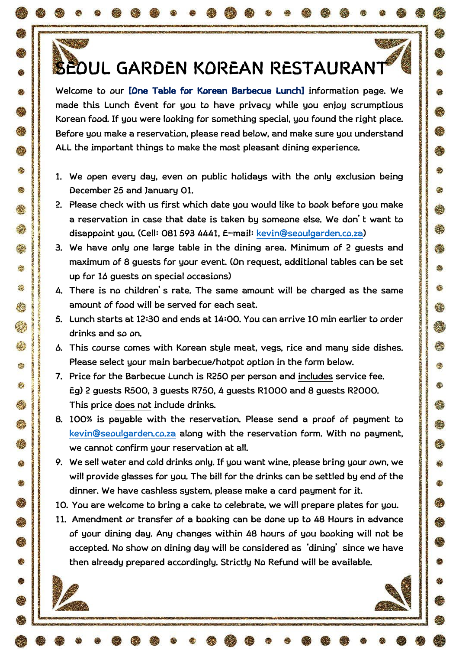# **SEOUL GARDEN KOREAN RESTAURANT**

 $-25.85$ 

GS.

Ø.

e.

総

魯

GIS

恐

鸬

đ.

癌

 $\alpha$ 

 $\mathcal{L}(\mathcal{A})$ 

Ø

**C** 

٢

鑫

编

é.

檫

纞

怨

**KG** 

碳

ex.

 $\bullet$ 

繑

S.

樂

Ġ

G

零

Q

像

Ø

**Welcome to our [One Table for Korean Barbecue Lunch] information page. We made this Lunch Event for you to have privacy while you enjoy scrumptious Korean food. If you were looking for something special, you found the right place. Before you make a reservation, please read below, and make sure you understand ALL the important things to make the most pleasant dining experience.** 

- **1. We open every day, even on public holidays with the only exclusion being December 25 and January 01.**
- **2. Please check with us first which date you would like to book before you make a reservation in case that date is taken by someone else. We don't want to disappoint you. (Cell: 081 593 4441, E-mail: [kevin@seoulgarden.co.za\)](mailto:kevin@seoulgarden.co.za)**
- **3. We have only one large table in the dining area. Minimum of 2 guests and maximum of 8 guests for your event. (On request, additional tables can be set up for 16 guests on special occasions)**
- **4. There is no children's rate. The same amount will be charged as the same amount of food will be served for each seat.**
- **5. Lunch starts at 12:30 and ends at 14:00. You can arrive 10 min earlier to order drinks and so on.**
- **6. This course comes with Korean style meat, vegs, rice and many side dishes. Please select your main barbecue/hotpot option in the form below.**
- **7. Price for the Barbecue Lunch is R250 per person and includes service fee. Eg) 2 guests R500, 3 guests R750, 4 guests R1000 and 8 guests R2000. This price does not include drinks.**
- **8. 100% is payable with the reservation. Please send a proof of payment to [kevin@seoulgarden.co.za](mailto:kevin@seoulgarden.co.za) along with the reservation form. With no payment, we cannot confirm your reservation at all.**
- **9. We sell water and cold drinks only. If you want wine, please bring your own, we will provide glasses for you. The bill for the drinks can be settled by end of the dinner. We have cashless system, please make a card payment for it.**
- **10. You are welcome to bring a cake to celebrate, we will prepare plates for you.**
- **11. Amendment or transfer of a booking can be done up to 48 Hours in advance of your dining day. Any changes within 48 hours of you booking will not be accepted. No show on dining day will be considered as 'dining' since we have then already prepared accordingly. Strictly No Refund will be available.**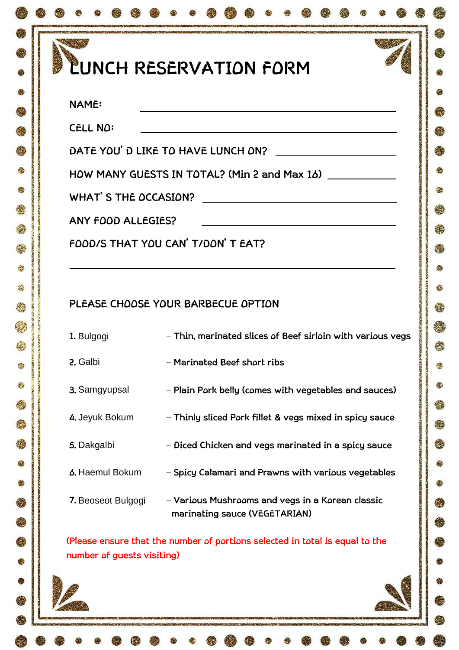# **LUNCH RESERVATION FORM**

æ

G.

総

e.

恐

僫

#### **NAME:**

**EXECUT** 

Ø

愚

鑫

麝

é.

機

鋆

**Kg** 

e.

 $\bullet$ 

ΚĴ.

S

幾

Ġ

G

Q

Ø

**CELL NO:** 

**DATE YOU'D LIKE TO HAVE LUNCH ON?** 

**HOW MANY GUESTS IN TOTAL? (Min 2 and Max 16)** 

**WHAT'S THE OCCASION?** 

**ANY FOOD ALLEGIES?** 

**FOOD/S THAT YOU CAN'T/DON'T EAT?** 

### **PLEASE CHOOSE YOUR BARBECUE OPTION**

| 1. Bulgogi         | - Thin, marinated slices of Beef sirloin with various vegs                        |
|--------------------|-----------------------------------------------------------------------------------|
| 2. Galbi           | – Marinated Beef short ribs                                                       |
| 3. Samgyupsal      | - Plain Pork belly (comes with vegetables and sauces)                             |
| 4. Jeyuk Bokum     | - Thinly sliced Pork fillet & vegs mixed in spicy sauce                           |
| 5. Dakgalbi        | - Diced Chicken and vegs marinated in a spicy sauce                               |
| 6. Haemul Bokum    | - Spicy Calamari and Prawns with various vegetables                               |
| 7. Beoseot Bulgogi | - Various Mushrooms and vegs in a Korean classic<br>marinating sauce (VEGETARIAN) |

**(Please ensure that the number of portions selected in total is equal to the number of guests visiting)**